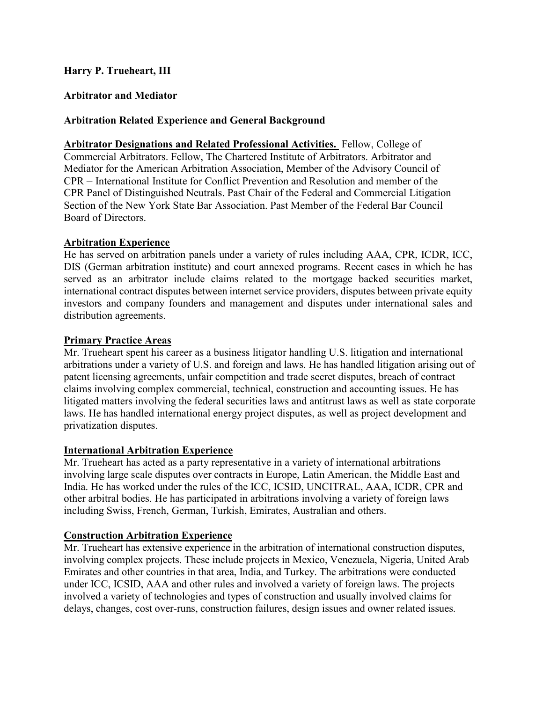# Harry P. Trueheart, III

# Arbitrator and Mediator

## Arbitration Related Experience and General Background

Arbitrator Designations and Related Professional Activities. Fellow, College of Commercial Arbitrators. Fellow, The Chartered Institute of Arbitrators. Arbitrator and Mediator for the American Arbitration Association, Member of the Advisory Council of CPR – International Institute for Conflict Prevention and Resolution and member of the CPR Panel of Distinguished Neutrals. Past Chair of the Federal and Commercial Litigation Section of the New York State Bar Association. Past Member of the Federal Bar Council Board of Directors.

### Arbitration Experience

He has served on arbitration panels under a variety of rules including AAA, CPR, ICDR, ICC, DIS (German arbitration institute) and court annexed programs. Recent cases in which he has served as an arbitrator include claims related to the mortgage backed securities market, international contract disputes between internet service providers, disputes between private equity investors and company founders and management and disputes under international sales and distribution agreements.

#### Primary Practice Areas

Mr. Trueheart spent his career as a business litigator handling U.S. litigation and international arbitrations under a variety of U.S. and foreign and laws. He has handled litigation arising out of patent licensing agreements, unfair competition and trade secret disputes, breach of contract claims involving complex commercial, technical, construction and accounting issues. He has litigated matters involving the federal securities laws and antitrust laws as well as state corporate laws. He has handled international energy project disputes, as well as project development and privatization disputes.

### International Arbitration Experience

Mr. Trueheart has acted as a party representative in a variety of international arbitrations involving large scale disputes over contracts in Europe, Latin American, the Middle East and India. He has worked under the rules of the ICC, ICSID, UNCITRAL, AAA, ICDR, CPR and other arbitral bodies. He has participated in arbitrations involving a variety of foreign laws including Swiss, French, German, Turkish, Emirates, Australian and others.

### Construction Arbitration Experience

Mr. Trueheart has extensive experience in the arbitration of international construction disputes, involving complex projects. These include projects in Mexico, Venezuela, Nigeria, United Arab Emirates and other countries in that area, India, and Turkey. The arbitrations were conducted under ICC, ICSID, AAA and other rules and involved a variety of foreign laws. The projects involved a variety of technologies and types of construction and usually involved claims for delays, changes, cost over-runs, construction failures, design issues and owner related issues.